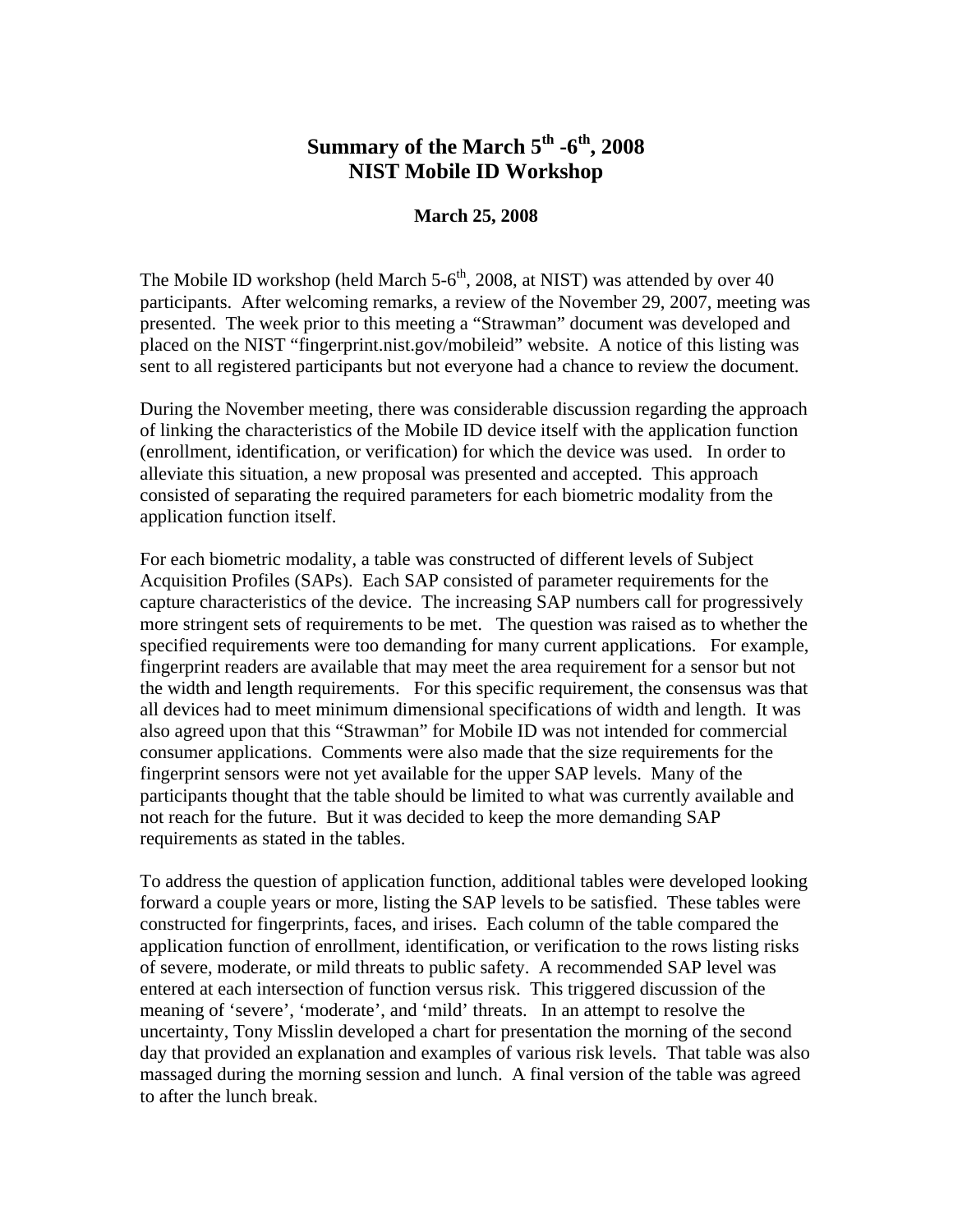## **Summary of the March 5th -6th, 2008 NIST Mobile ID Workshop**

## **March 25, 2008**

The Mobile ID workshop (held March  $5-6<sup>th</sup>$ , 2008, at NIST) was attended by over 40 participants. After welcoming remarks, a review of the November 29, 2007, meeting was presented. The week prior to this meeting a "Strawman" document was developed and placed on the NIST "fingerprint.nist.gov/mobileid" website. A notice of this listing was sent to all registered participants but not everyone had a chance to review the document.

During the November meeting, there was considerable discussion regarding the approach of linking the characteristics of the Mobile ID device itself with the application function (enrollment, identification, or verification) for which the device was used. In order to alleviate this situation, a new proposal was presented and accepted. This approach consisted of separating the required parameters for each biometric modality from the application function itself.

For each biometric modality, a table was constructed of different levels of Subject Acquisition Profiles (SAPs). Each SAP consisted of parameter requirements for the capture characteristics of the device. The increasing SAP numbers call for progressively more stringent sets of requirements to be met. The question was raised as to whether the specified requirements were too demanding for many current applications. For example, fingerprint readers are available that may meet the area requirement for a sensor but not the width and length requirements. For this specific requirement, the consensus was that all devices had to meet minimum dimensional specifications of width and length. It was also agreed upon that this "Strawman" for Mobile ID was not intended for commercial consumer applications. Comments were also made that the size requirements for the fingerprint sensors were not yet available for the upper SAP levels. Many of the participants thought that the table should be limited to what was currently available and not reach for the future. But it was decided to keep the more demanding SAP requirements as stated in the tables.

To address the question of application function, additional tables were developed looking forward a couple years or more, listing the SAP levels to be satisfied. These tables were constructed for fingerprints, faces, and irises. Each column of the table compared the application function of enrollment, identification, or verification to the rows listing risks of severe, moderate, or mild threats to public safety. A recommended SAP level was entered at each intersection of function versus risk. This triggered discussion of the meaning of 'severe', 'moderate', and 'mild' threats. In an attempt to resolve the uncertainty, Tony Misslin developed a chart for presentation the morning of the second day that provided an explanation and examples of various risk levels. That table was also massaged during the morning session and lunch. A final version of the table was agreed to after the lunch break.